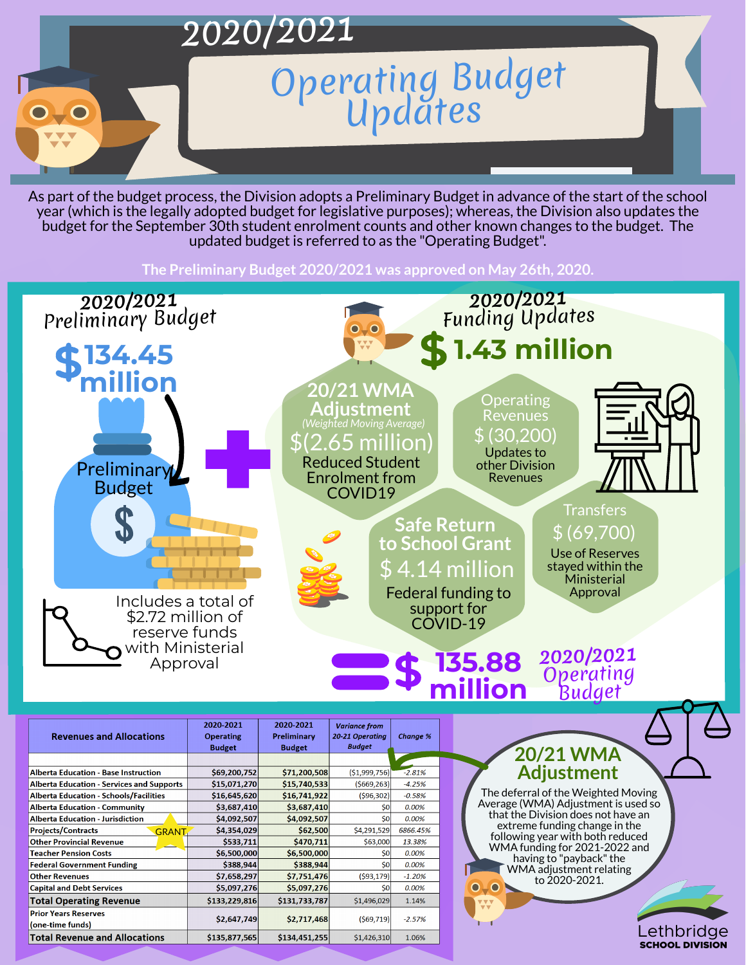

As part of the budget process, the Division adopts a Preliminary Budget in advance of the start of the school year (which is the legally adopted budget for legislative purposes); whereas, the Division also updates the budget for the September 30th student enrolment counts and other known changes to the budget. The updated budget is referred to as the "Operating Budget" .



**Transfers** \$ (69,700)

**The Preliminary Budget 2020/2021 was approved on May 26th, 2020.**





**Operating** 

**Safe Return to School Grant** \$ 4.14 million Federal funding to support for COVID-19

Revenues

\$ (30,200)

Use of Reserves stayed within the Ministerial Approval

Updates to

other Division

Revenues

**135.88**

**million**

**20/21 WMA Adjustment** \$(2.65 million) Reduced Student Enrolment from COVID19 *(Weighted Moving Average)*

**2020/2021**

Operating

Budget

2020-2021

2020-2021

### **20/21 WMA Adjustment**

The deferral of the Weighted Moving Average (WMA) Adjustment is used so that the Division does not have an extreme funding change in the following year with both reduced WMA funding for 2021-2022 and having to "payback" the WMA adjustment relating to 2020-2021.

#### Lethbridge **SCHOOL DIVISION**

| <b>Revenues and Allocations</b>                  | <b>Operating</b> | <b>Preliminary</b> | 20-21 Operating | <b>Change %</b> |
|--------------------------------------------------|------------------|--------------------|-----------------|-----------------|
|                                                  | <b>Budget</b>    | <b>Budget</b>      | <b>Budget</b>   |                 |
|                                                  |                  |                    |                 |                 |
| <b>Alberta Education - Base Instruction</b>      | \$69,200,752     | \$71,200,508       | ( \$1,999,756)  | $-2.81%$        |
| <b>Alberta Education - Services and Supports</b> | \$15,071,270     | \$15,740,533       | (5669, 263)     | $-4.25%$        |
| <b>Alberta Education - Schools/Facilities</b>    | \$16,645,620     | \$16,741,922       | (596, 302)      | $-0.58%$        |
| <b>Alberta Education - Community</b>             | \$3,687,410      | \$3,687,410        | \$0             | 0.00%           |
| <b>Alberta Education - Jurisdiction</b>          | \$4,092,507      | \$4,092,507        | \$0             | 0.00%           |
| <b>Projects/Contracts</b><br><b>GRANT</b>        | \$4,354,029      | \$62,500           | \$4,291,529     | 6866.45%        |
| <b>Other Provincial Revenue</b>                  | \$533,711        | \$470,711          | \$63,000        | 13.38%          |
| <b>Teacher Pension Costs</b>                     | \$6,500,000      | \$6,500,000        | \$0             | 0.00%           |
| <b>Federal Government Funding</b>                | \$388,944        | \$388,944          | \$0             | 0.00%           |
| <b>Other Revenues</b>                            | \$7,658,297      | \$7,751,476        | (593, 179)      | $-1.20%$        |
| <b>Capital and Debt Services</b>                 | \$5,097,276      | \$5,097,276        | \$0             | 0.00%           |
| <b>Total Operating Revenue</b>                   | \$133,229,816    | \$131,733,787      | \$1,496,029     | 1.14%           |
| <b>Prior Years Reserves</b><br>(one-time funds)  | \$2,647,749      | \$2,717,468        | (569, 719)      | $-2.57%$        |
| <b>Total Revenue and Allocations</b>             | \$135,877,565    | \$134,451,255      | \$1,426,310     | 1.06%           |